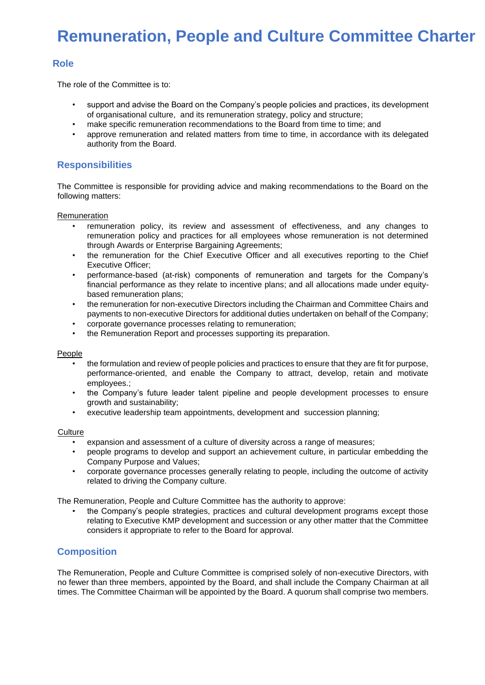# **Remuneration, People and Culture Committee Charter**

## **Role**

The role of the Committee is to:

- support and advise the Board on the Company's people policies and practices, its development of organisational culture, and its remuneration strategy, policy and structure;
- make specific remuneration recommendations to the Board from time to time; and
- approve remuneration and related matters from time to time, in accordance with its delegated authority from the Board.

### **Responsibilities**

The Committee is responsible for providing advice and making recommendations to the Board on the following matters:

Remuneration

- remuneration policy, its review and assessment of effectiveness, and any changes to remuneration policy and practices for all employees whose remuneration is not determined through Awards or Enterprise Bargaining Agreements;
- the remuneration for the Chief Executive Officer and all executives reporting to the Chief Executive Officer;
- performance-based (at-risk) components of remuneration and targets for the Company's financial performance as they relate to incentive plans; and all allocations made under equitybased remuneration plans;
- the remuneration for non-executive Directors including the Chairman and Committee Chairs and payments to non-executive Directors for additional duties undertaken on behalf of the Company;
- corporate governance processes relating to remuneration;
- the Remuneration Report and processes supporting its preparation.

#### People

- the formulation and review of people policies and practices to ensure that they are fit for purpose, performance-oriented, and enable the Company to attract, develop, retain and motivate employees.;
- the Company's future leader talent pipeline and people development processes to ensure growth and sustainability;
- executive leadership team appointments, development and succession planning;

#### **Culture**

- expansion and assessment of a culture of diversity across a range of measures;
- people programs to develop and support an achievement culture, in particular embedding the Company Purpose and Values;
- corporate governance processes generally relating to people, including the outcome of activity related to driving the Company culture.

The Remuneration, People and Culture Committee has the authority to approve:

• the Company's people strategies, practices and cultural development programs except those relating to Executive KMP development and succession or any other matter that the Committee considers it appropriate to refer to the Board for approval.

## **Composition**

The Remuneration, People and Culture Committee is comprised solely of non-executive Directors, with no fewer than three members, appointed by the Board, and shall include the Company Chairman at all times. The Committee Chairman will be appointed by the Board. A quorum shall comprise two members.